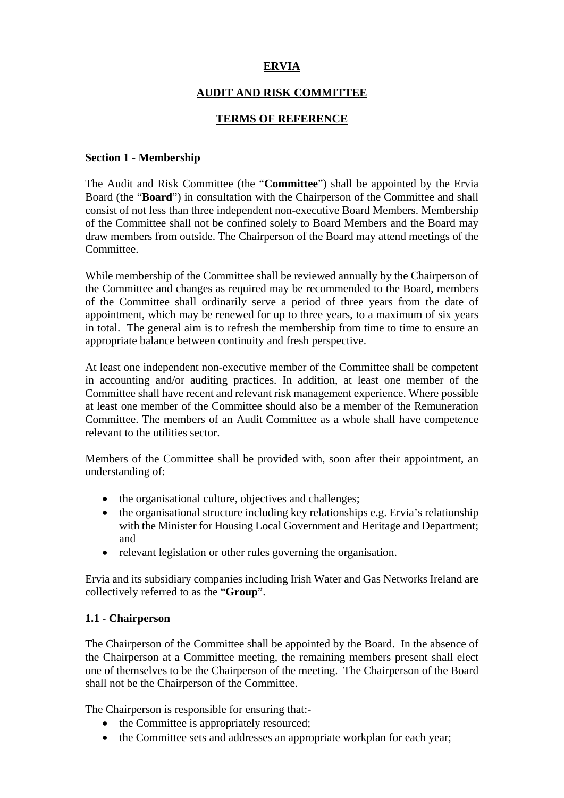# **ERVIA**

## **AUDIT AND RISK COMMITTEE**

### **TERMS OF REFERENCE**

#### **Section 1 - Membership**

The Audit and Risk Committee (the "**Committee**") shall be appointed by the Ervia Board (the "**Board**") in consultation with the Chairperson of the Committee and shall consist of not less than three independent non-executive Board Members. Membership of the Committee shall not be confined solely to Board Members and the Board may draw members from outside. The Chairperson of the Board may attend meetings of the Committee.

While membership of the Committee shall be reviewed annually by the Chairperson of the Committee and changes as required may be recommended to the Board, members of the Committee shall ordinarily serve a period of three years from the date of appointment, which may be renewed for up to three years, to a maximum of six years in total. The general aim is to refresh the membership from time to time to ensure an appropriate balance between continuity and fresh perspective.

At least one independent non-executive member of the Committee shall be competent in accounting and/or auditing practices. In addition, at least one member of the Committee shall have recent and relevant risk management experience. Where possible at least one member of the Committee should also be a member of the Remuneration Committee. The members of an Audit Committee as a whole shall have competence relevant to the utilities sector.

Members of the Committee shall be provided with, soon after their appointment, an understanding of:

- the organisational culture, objectives and challenges;
- the organisational structure including key relationships e.g. Ervia's relationship with the Minister for Housing Local Government and Heritage and Department; and
- relevant legislation or other rules governing the organisation.

Ervia and its subsidiary companies including Irish Water and Gas Networks Ireland are collectively referred to as the "**Group**".

#### **1.1 - Chairperson**

The Chairperson of the Committee shall be appointed by the Board. In the absence of the Chairperson at a Committee meeting, the remaining members present shall elect one of themselves to be the Chairperson of the meeting. The Chairperson of the Board shall not be the Chairperson of the Committee.

The Chairperson is responsible for ensuring that:-

- the Committee is appropriately resourced:
- the Committee sets and addresses an appropriate workplan for each year;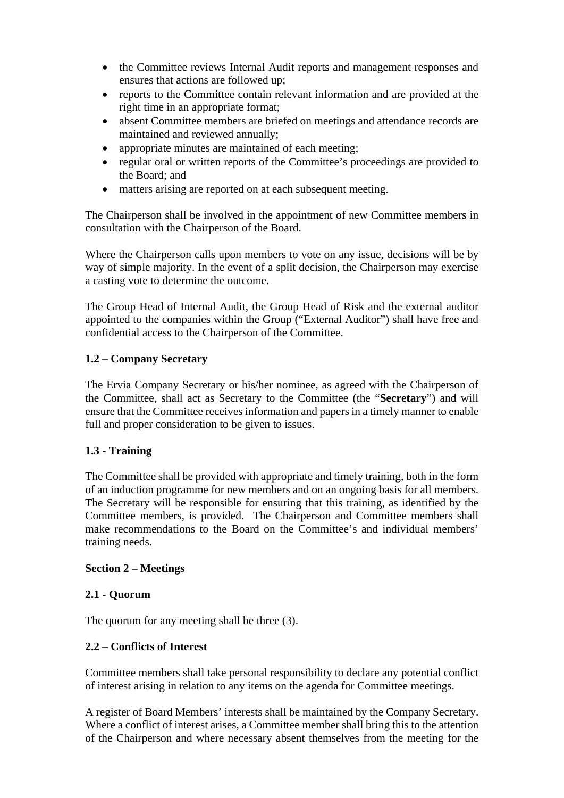- the Committee reviews Internal Audit reports and management responses and ensures that actions are followed up;
- reports to the Committee contain relevant information and are provided at the right time in an appropriate format;
- absent Committee members are briefed on meetings and attendance records are maintained and reviewed annually;
- appropriate minutes are maintained of each meeting;
- regular oral or written reports of the Committee's proceedings are provided to the Board; and
- matters arising are reported on at each subsequent meeting.

The Chairperson shall be involved in the appointment of new Committee members in consultation with the Chairperson of the Board.

Where the Chairperson calls upon members to vote on any issue, decisions will be by way of simple majority. In the event of a split decision, the Chairperson may exercise a casting vote to determine the outcome.

The Group Head of Internal Audit, the Group Head of Risk and the external auditor appointed to the companies within the Group ("External Auditor") shall have free and confidential access to the Chairperson of the Committee.

## **1.2 – Company Secretary**

The Ervia Company Secretary or his/her nominee, as agreed with the Chairperson of the Committee, shall act as Secretary to the Committee (the "**Secretary**") and will ensure that the Committee receives information and papers in a timely manner to enable full and proper consideration to be given to issues.

## **1.3 - Training**

The Committee shall be provided with appropriate and timely training, both in the form of an induction programme for new members and on an ongoing basis for all members. The Secretary will be responsible for ensuring that this training, as identified by the Committee members, is provided. The Chairperson and Committee members shall make recommendations to the Board on the Committee's and individual members' training needs.

#### **Section 2 – Meetings**

#### **2.1 - Quorum**

The quorum for any meeting shall be three (3).

## **2.2 – Conflicts of Interest**

Committee members shall take personal responsibility to declare any potential conflict of interest arising in relation to any items on the agenda for Committee meetings.

A register of Board Members' interests shall be maintained by the Company Secretary. Where a conflict of interest arises, a Committee member shall bring this to the attention of the Chairperson and where necessary absent themselves from the meeting for the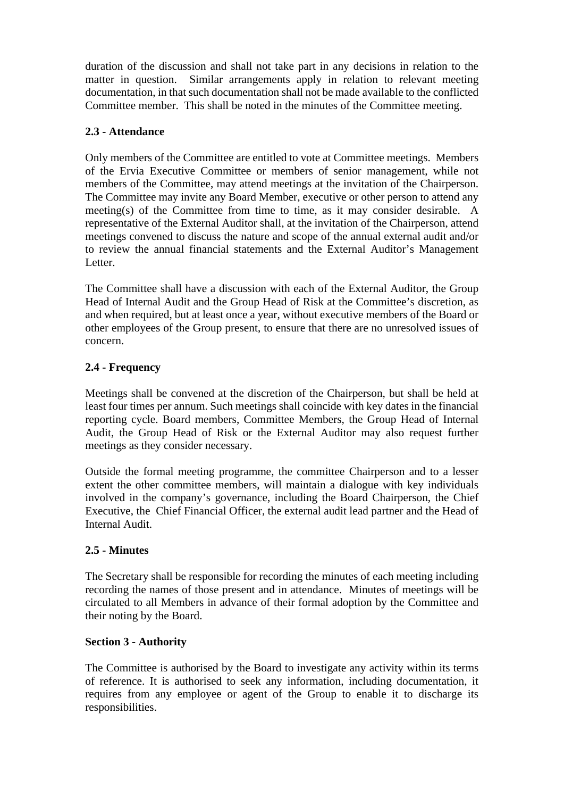duration of the discussion and shall not take part in any decisions in relation to the matter in question. Similar arrangements apply in relation to relevant meeting documentation, in that such documentation shall not be made available to the conflicted Committee member. This shall be noted in the minutes of the Committee meeting.

# **2.3 - Attendance**

Only members of the Committee are entitled to vote at Committee meetings. Members of the Ervia Executive Committee or members of senior management, while not members of the Committee, may attend meetings at the invitation of the Chairperson. The Committee may invite any Board Member, executive or other person to attend any meeting(s) of the Committee from time to time, as it may consider desirable. A representative of the External Auditor shall, at the invitation of the Chairperson, attend meetings convened to discuss the nature and scope of the annual external audit and/or to review the annual financial statements and the External Auditor's Management Letter.

The Committee shall have a discussion with each of the External Auditor, the Group Head of Internal Audit and the Group Head of Risk at the Committee's discretion, as and when required, but at least once a year, without executive members of the Board or other employees of the Group present, to ensure that there are no unresolved issues of concern.

# **2.4 - Frequency**

Meetings shall be convened at the discretion of the Chairperson, but shall be held at least four times per annum. Such meetings shall coincide with key dates in the financial reporting cycle. Board members, Committee Members, the Group Head of Internal Audit, the Group Head of Risk or the External Auditor may also request further meetings as they consider necessary.

Outside the formal meeting programme, the committee Chairperson and to a lesser extent the other committee members, will maintain a dialogue with key individuals involved in the company's governance, including the Board Chairperson, the Chief Executive, the Chief Financial Officer, the external audit lead partner and the Head of Internal Audit.

## **2.5 - Minutes**

The Secretary shall be responsible for recording the minutes of each meeting including recording the names of those present and in attendance. Minutes of meetings will be circulated to all Members in advance of their formal adoption by the Committee and their noting by the Board.

## **Section 3 - Authority**

The Committee is authorised by the Board to investigate any activity within its terms of reference. It is authorised to seek any information, including documentation, it requires from any employee or agent of the Group to enable it to discharge its responsibilities.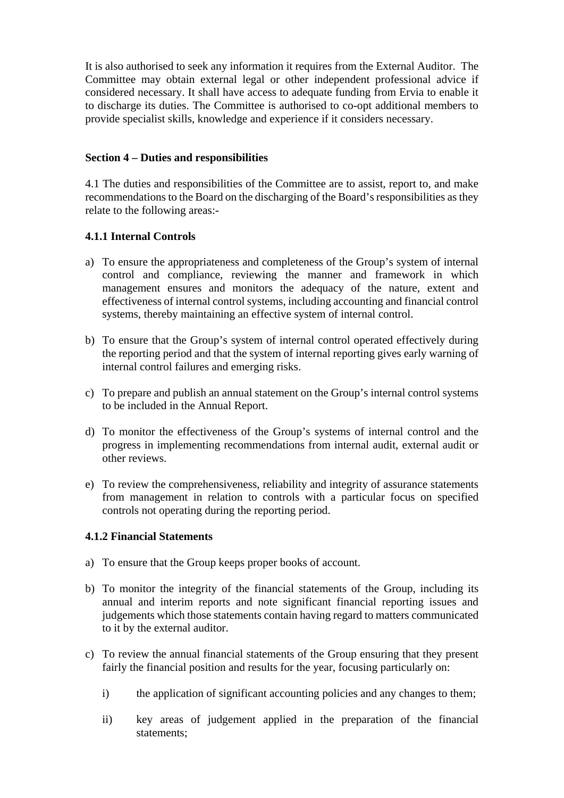It is also authorised to seek any information it requires from the External Auditor. The Committee may obtain external legal or other independent professional advice if considered necessary. It shall have access to adequate funding from Ervia to enable it to discharge its duties. The Committee is authorised to co-opt additional members to provide specialist skills, knowledge and experience if it considers necessary.

### **Section 4 – Duties and responsibilities**

4.1 The duties and responsibilities of the Committee are to assist, report to, and make recommendations to the Board on the discharging of the Board's responsibilities as they relate to the following areas:-

## **4.1.1 Internal Controls**

- a) To ensure the appropriateness and completeness of the Group's system of internal control and compliance, reviewing the manner and framework in which management ensures and monitors the adequacy of the nature, extent and effectiveness of internal control systems, including accounting and financial control systems, thereby maintaining an effective system of internal control.
- b) To ensure that the Group's system of internal control operated effectively during the reporting period and that the system of internal reporting gives early warning of internal control failures and emerging risks.
- c) To prepare and publish an annual statement on the Group's internal control systems to be included in the Annual Report.
- d) To monitor the effectiveness of the Group's systems of internal control and the progress in implementing recommendations from internal audit, external audit or other reviews.
- e) To review the comprehensiveness, reliability and integrity of assurance statements from management in relation to controls with a particular focus on specified controls not operating during the reporting period.

#### **4.1.2 Financial Statements**

- a) To ensure that the Group keeps proper books of account.
- b) To monitor the integrity of the financial statements of the Group, including its annual and interim reports and note significant financial reporting issues and judgements which those statements contain having regard to matters communicated to it by the external auditor.
- c) To review the annual financial statements of the Group ensuring that they present fairly the financial position and results for the year, focusing particularly on:
	- i) the application of significant accounting policies and any changes to them;
	- ii) key areas of judgement applied in the preparation of the financial statements;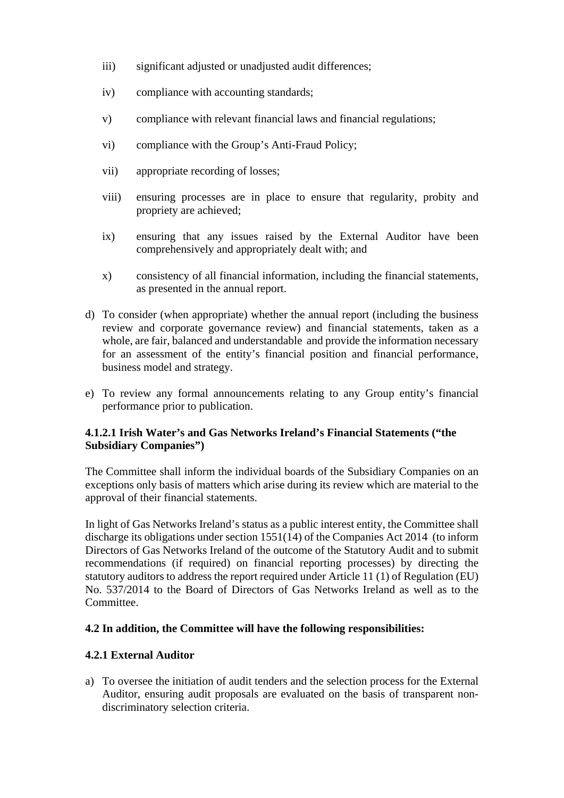- iii) significant adjusted or unadjusted audit differences;
- iv) compliance with accounting standards;
- v) compliance with relevant financial laws and financial regulations;
- vi) compliance with the Group's Anti-Fraud Policy;
- vii) appropriate recording of losses;
- viii) ensuring processes are in place to ensure that regularity, probity and propriety are achieved;
- ix) ensuring that any issues raised by the External Auditor have been comprehensively and appropriately dealt with; and
- x) consistency of all financial information, including the financial statements, as presented in the annual report.
- d) To consider (when appropriate) whether the annual report (including the business review and corporate governance review) and financial statements, taken as a whole, are fair, balanced and understandable and provide the information necessary for an assessment of the entity's financial position and financial performance, business model and strategy.
- e) To review any formal announcements relating to any Group entity's financial performance prior to publication.

## **4.1.2.1 Irish Water's and Gas Networks Ireland's Financial Statements ("the Subsidiary Companies")**

The Committee shall inform the individual boards of the Subsidiary Companies on an exceptions only basis of matters which arise during its review which are material to the approval of their financial statements.

In light of Gas Networks Ireland's status as a public interest entity, the Committee shall discharge its obligations under section 1551(14) of the Companies Act 2014 (to inform Directors of Gas Networks Ireland of the outcome of the Statutory Audit and to submit recommendations (if required) on financial reporting processes) by directing the statutory auditors to address the report required under Article 11 (1) of Regulation (EU) No. 537/2014 to the Board of Directors of Gas Networks Ireland as well as to the Committee.

## **4.2 In addition, the Committee will have the following responsibilities:**

#### **4.2.1 External Auditor**

a) To oversee the initiation of audit tenders and the selection process for the External Auditor, ensuring audit proposals are evaluated on the basis of transparent nondiscriminatory selection criteria.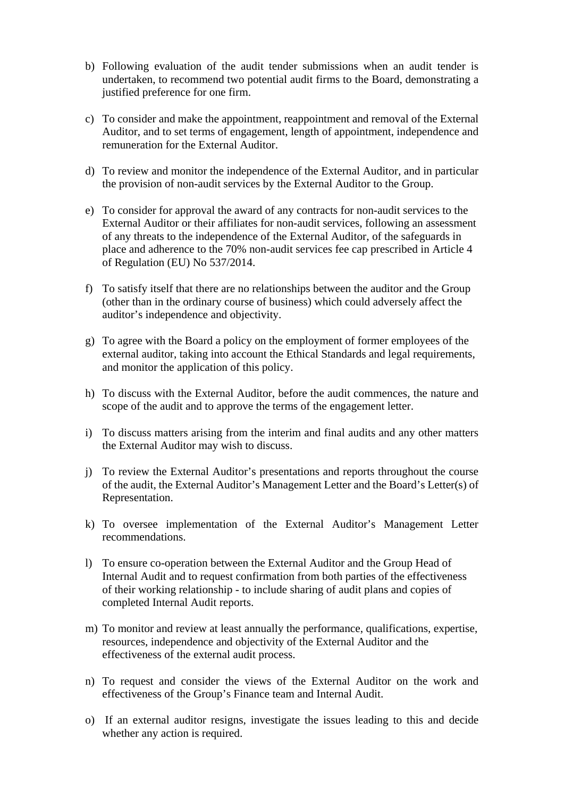- b) Following evaluation of the audit tender submissions when an audit tender is undertaken, to recommend two potential audit firms to the Board, demonstrating a justified preference for one firm.
- c) To consider and make the appointment, reappointment and removal of the External Auditor, and to set terms of engagement, length of appointment, independence and remuneration for the External Auditor.
- d) To review and monitor the independence of the External Auditor, and in particular the provision of non-audit services by the External Auditor to the Group.
- e) To consider for approval the award of any contracts for non-audit services to the External Auditor or their affiliates for non-audit services, following an assessment of any threats to the independence of the External Auditor, of the safeguards in place and adherence to the 70% non-audit services fee cap prescribed in Article 4 of Regulation (EU) No 537/2014.
- f) To satisfy itself that there are no relationships between the auditor and the Group (other than in the ordinary course of business) which could adversely affect the auditor's independence and objectivity.
- g) To agree with the Board a policy on the employment of former employees of the external auditor, taking into account the Ethical Standards and legal requirements, and monitor the application of this policy.
- h) To discuss with the External Auditor, before the audit commences, the nature and scope of the audit and to approve the terms of the engagement letter.
- i) To discuss matters arising from the interim and final audits and any other matters the External Auditor may wish to discuss.
- j) To review the External Auditor's presentations and reports throughout the course of the audit, the External Auditor's Management Letter and the Board's Letter(s) of Representation.
- k) To oversee implementation of the External Auditor's Management Letter recommendations.
- l) To ensure co-operation between the External Auditor and the Group Head of Internal Audit and to request confirmation from both parties of the effectiveness of their working relationship - to include sharing of audit plans and copies of completed Internal Audit reports.
- m) To monitor and review at least annually the performance, qualifications, expertise, resources, independence and objectivity of the External Auditor and the effectiveness of the external audit process.
- n) To request and consider the views of the External Auditor on the work and effectiveness of the Group's Finance team and Internal Audit.
- o) If an external auditor resigns, investigate the issues leading to this and decide whether any action is required.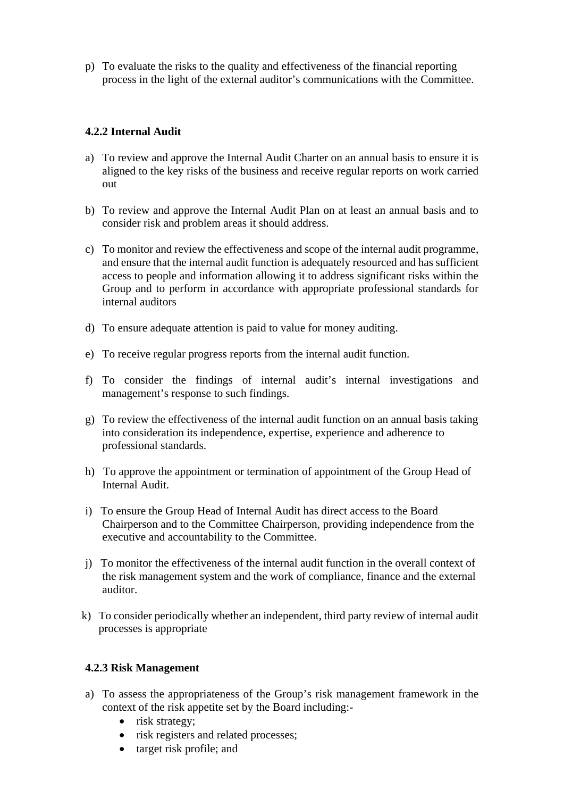p) To evaluate the risks to the quality and effectiveness of the financial reporting process in the light of the external auditor's communications with the Committee.

### **4.2.2 Internal Audit**

- a) To review and approve the Internal Audit Charter on an annual basis to ensure it is aligned to the key risks of the business and receive regular reports on work carried out
- b) To review and approve the Internal Audit Plan on at least an annual basis and to consider risk and problem areas it should address.
- c) To monitor and review the effectiveness and scope of the internal audit programme, and ensure that the internal audit function is adequately resourced and has sufficient access to people and information allowing it to address significant risks within the Group and to perform in accordance with appropriate professional standards for internal auditors
- d) To ensure adequate attention is paid to value for money auditing.
- e) To receive regular progress reports from the internal audit function.
- f) To consider the findings of internal audit's internal investigations and management's response to such findings.
- g) To review the effectiveness of the internal audit function on an annual basis taking into consideration its independence, expertise, experience and adherence to professional standards.
- h) To approve the appointment or termination of appointment of the Group Head of Internal Audit.
- i) To ensure the Group Head of Internal Audit has direct access to the Board Chairperson and to the Committee Chairperson, providing independence from the executive and accountability to the Committee.
- j) To monitor the effectiveness of the internal audit function in the overall context of the risk management system and the work of compliance, finance and the external auditor.
- k) To consider periodically whether an independent, third party review of internal audit processes is appropriate

#### **4.2.3 Risk Management**

- a) To assess the appropriateness of the Group's risk management framework in the context of the risk appetite set by the Board including:-
	- risk strategy;
	- risk registers and related processes;
	- target risk profile; and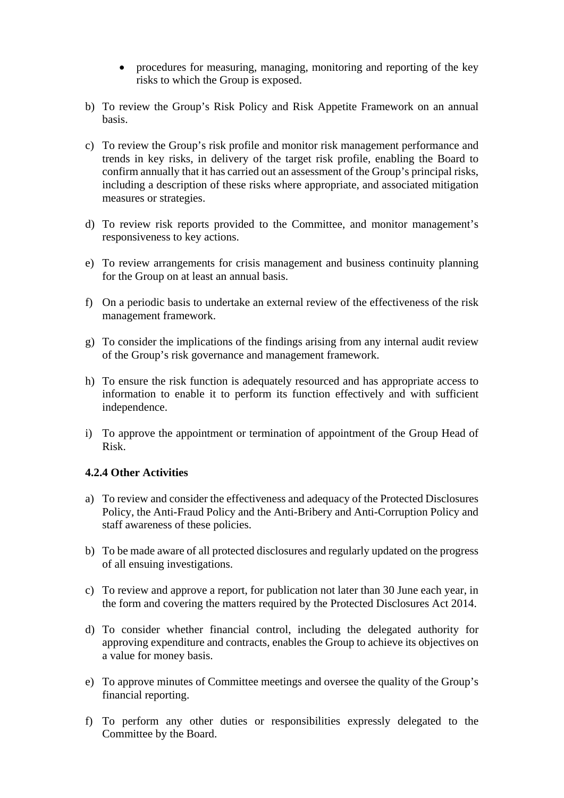- procedures for measuring, managing, monitoring and reporting of the key risks to which the Group is exposed.
- b) To review the Group's Risk Policy and Risk Appetite Framework on an annual basis.
- c) To review the Group's risk profile and monitor risk management performance and trends in key risks, in delivery of the target risk profile, enabling the Board to confirm annually that it has carried out an assessment of the Group's principal risks, including a description of these risks where appropriate, and associated mitigation measures or strategies.
- d) To review risk reports provided to the Committee, and monitor management's responsiveness to key actions.
- e) To review arrangements for crisis management and business continuity planning for the Group on at least an annual basis.
- f) On a periodic basis to undertake an external review of the effectiveness of the risk management framework.
- g) To consider the implications of the findings arising from any internal audit review of the Group's risk governance and management framework.
- h) To ensure the risk function is adequately resourced and has appropriate access to information to enable it to perform its function effectively and with sufficient independence.
- i) To approve the appointment or termination of appointment of the Group Head of Risk.

#### **4.2.4 Other Activities**

- a) To review and consider the effectiveness and adequacy of the Protected Disclosures Policy, the Anti-Fraud Policy and the Anti-Bribery and Anti-Corruption Policy and staff awareness of these policies.
- b) To be made aware of all protected disclosures and regularly updated on the progress of all ensuing investigations.
- c) To review and approve a report, for publication not later than 30 June each year, in the form and covering the matters required by the Protected Disclosures Act 2014.
- d) To consider whether financial control, including the delegated authority for approving expenditure and contracts, enables the Group to achieve its objectives on a value for money basis.
- e) To approve minutes of Committee meetings and oversee the quality of the Group's financial reporting.
- f) To perform any other duties or responsibilities expressly delegated to the Committee by the Board.